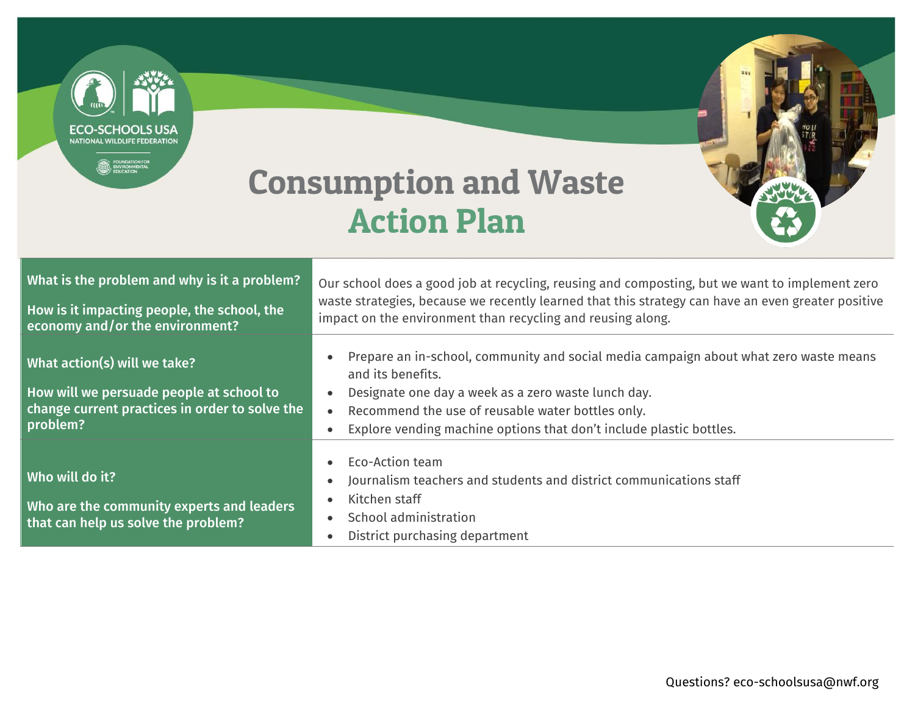NATIONAL WILDLIFF FEDERATIO Consumption and Waste Action Plan What is the problem and why is it a problem? Our school does a good job at recycling, reusing and composting, but we want to implement zero waste strategies, because we recently learned that this strategy can have an even greater positive How is it impacting people, the school, the impact on the environment than recycling and reusing along. economy and/or the environment? Prepare an in-school, community and social media campaign about what zero waste means What action(s) will we take? and its benefits. Designate one day a week as a zero waste lunch day. How will we persuade people at school to change current practices in order to solve the Recommend the use of reusable water bottles only. problem? Explore vending machine options that don't include plastic bottles. Eco-Action team Who will do it? Journalism teachers and students and district communications staff Kitchen staff Who are the community experts and leaders School administration that can help us solve the problem? • District purchasing department